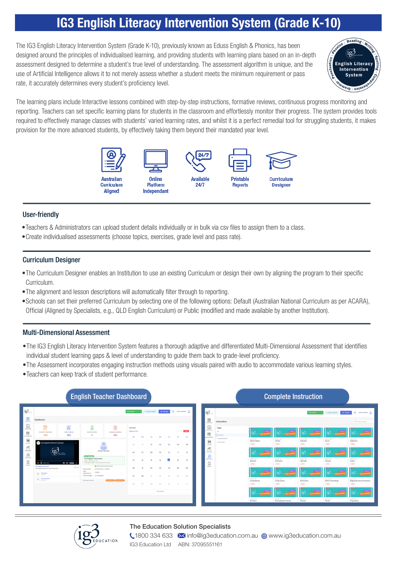# IG3 English Literacy Intervention System (Grade K-10)

The IG3 English Literacy Intervention System (Grade K-10), previously known as Eduss English & Phonics, has been designed around the principles of individualised learning, and providing students with learning plans based on an in-depth assessment designed to determine a student's true level of understanding. The assessment algorithm is unique, and the use of Artificial Intelligence allows it to not merely assess whether a student meets the minimum requirement or pass rate, it accurately determines every student's proficiency level.



The learning plans include Interactive lessons combined with step-by-step instructions, formative reviews, continuous progress monitoring and reporting. Teachers can set specific learning plans for students in the classroom and effortlessly monitor their progress. The system provides tools required to effectively manage classes with students' varied learning rates, and whilst it is a perfect remedial tool for struggling students, it makes provision for the more advanced students, by effectively taking them beyond their mandated year level.



#### User-friendly

- •Teachers & Administrators can upload student details individually or in bulk via csv files to assign them to a class.
- •Create individualised assessments (choose topics, exercises, grade level and pass rate).

#### Curriculum Designer

- •The Curriculum Designer enables an Institution to use an existing Curriculum or design their own by aligning the program to their specific Curriculum.
- •The alignment and lesson descriptions will automatically filter through to reporting.
- •Schools can set their preferred Curriculum by selecting one of the following options: Default (Australian National Curriculum as per ACARA), Official (Aligned by Specialists, e.g., QLD English Curriculum) or Public (modified and made available by another Institution).

#### Multi-Dimensional Assessment

- •The IG3 English Literacy Intervention System features a thorough adaptive and differentiated Multi-Dimensional Assessment that identifies individual student learning gaps & level of understanding to guide them back to grade-level proficiency.
- •The Assessment incorporates engaging instruction methods using visuals paired with audio to accommodate various learning styles.
- •Teachers can keep track of student performance.

ATION



### The Education Solution Specialists

**1800 334 633 M** info@ig3education.com.au @ www.ig3education.com.au IG3 Education Ltd ABN: 37095551161